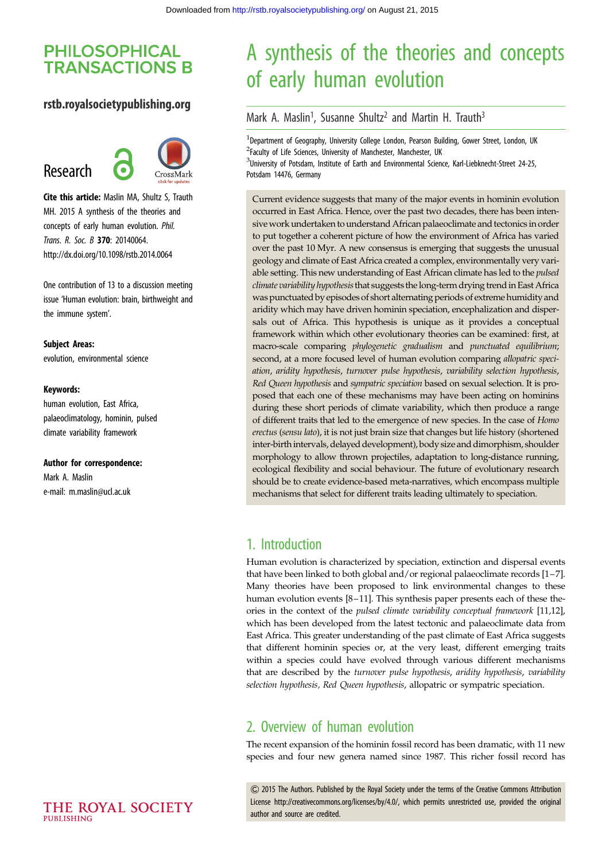# **PHILOSOPHICAL TRANSACTIONS B**

### rstb.royalsocietypublishing.org

# Research



Cite this article: Maslin MA, Shultz S, Trauth MH. 2015 A synthesis of the theories and concepts of early human evolution. Phil. Trans. R. Soc. B 370: 20140064. http://dx.doi.org/10.1098/rstb.2014.0064

One contribution of 13 to a discussion meeting issue 'Human evolution: brain, birthweight and the immune system'.

Subject Areas: evolution, environmental science

#### Keywords:

human evolution, East Africa, palaeoclimatology, hominin, pulsed climate variability framework

Author for correspondence:

Mark A. Maslin e-mail: [m.maslin@ucl.ac.uk](mailto:m.maslin@ucl.ac.uk)

# A synthesis of the theories and concepts of early human evolution

Mark A. Maslin<sup>1</sup>, Susanne Shultz<sup>2</sup> and Martin H. Trauth<sup>3</sup>

<sup>1</sup>Department of Geography, University College London, Pearson Building, Gower Street, London, UK <sup>2</sup>Faculty of Life Sciences, University of Manchester, Manchester, UK <sup>3</sup>University of Potsdam, Institute of Earth and Environmental Science, Karl-Liebknecht-Street 24-25, Potsdam 14476, Germany

Current evidence suggests that many of the major events in hominin evolution occurred in East Africa. Hence, over the past two decades, there has been intensivework undertaken to understand African palaeoclimate and tectonics in order to put together a coherent picture of how the environment of Africa has varied over the past 10 Myr. A new consensus is emerging that suggests the unusual geology and climate of East Africa created a complex, environmentally very variable setting. This new understanding of East African climate has led to the *pulsed* climate variability hypothesis that suggests the long-term drying trend in East Africa was punctuated by episodes of short alternating periods of extreme humidity and aridity which may have driven hominin speciation, encephalization and dispersals out of Africa. This hypothesis is unique as it provides a conceptual framework within which other evolutionary theories can be examined: first, at macro-scale comparing phylogenetic gradualism and punctuated equilibrium; second, at a more focused level of human evolution comparing allopatric speciation, aridity hypothesis, turnover pulse hypothesis, variability selection hypothesis, Red Queen hypothesis and sympatric speciation based on sexual selection. It is proposed that each one of these mechanisms may have been acting on hominins during these short periods of climate variability, which then produce a range of different traits that led to the emergence of new species. In the case of Homo erectus (sensu lato), it is not just brain size that changes but life history (shortened inter-birth intervals, delayed development), body size and dimorphism, shoulder morphology to allow thrown projectiles, adaptation to long-distance running, ecological flexibility and social behaviour. The future of evolutionary research should be to create evidence-based meta-narratives, which encompass multiple mechanisms that select for different traits leading ultimately to speciation.

### 1. Introduction

Human evolution is characterized by speciation, extinction and dispersal events that have been linked to both global and/or regional palaeoclimate records [[1](#page-9-0)–[7\]](#page-9-0). Many theories have been proposed to link environmental changes to these human evolution events [[8](#page-9-0)–[11](#page-9-0)]. This synthesis paper presents each of these theories in the context of the pulsed climate variability conceptual framework [[11,12\]](#page-9-0), which has been developed from the latest tectonic and palaeoclimate data from East Africa. This greater understanding of the past climate of East Africa suggests that different hominin species or, at the very least, different emerging traits within a species could have evolved through various different mechanisms that are described by the turnover pulse hypothesis, aridity hypothesis, variability selection hypothesis, Red Queen hypothesis, allopatric or sympatric speciation.

### 2. Overview of human evolution

The recent expansion of the hominin fossil record has been dramatic, with 11 new species and four new genera named since 1987. This richer fossil record has

& 2015 The Authors. Published by the Royal Society under the terms of the Creative Commons Attribution License http://creativecommons.org/licenses/by/4.0/, which permits unrestricted use, provided the original author and source are credited.

THE ROYAL SOCIETY PURLISHING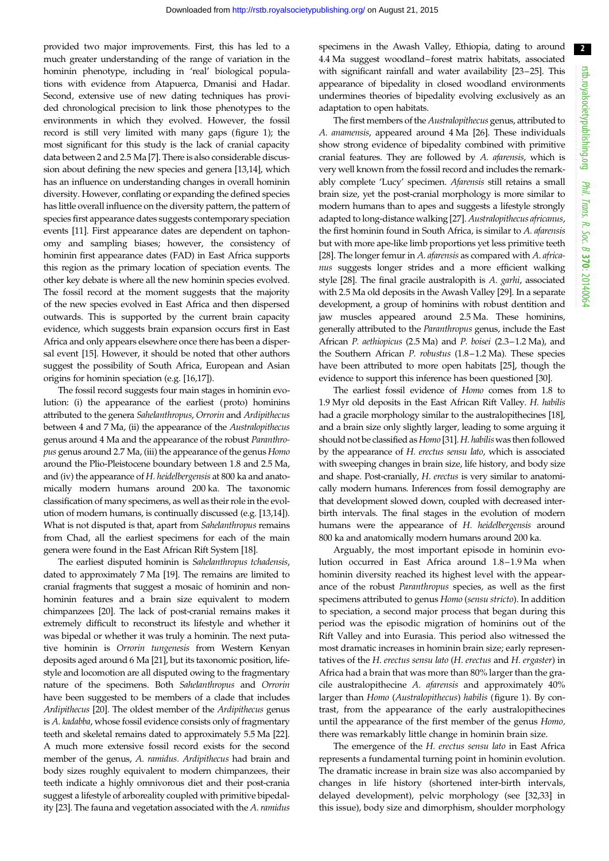$\sqrt{2}$ 

provided two major improvements. First, this has led to a much greater understanding of the range of variation in the hominin phenotype, including in 'real' biological populations with evidence from Atapuerca, Dmanisi and Hadar. Second, extensive use of new dating techniques has provided chronological precision to link those phenotypes to the environments in which they evolved. However, the fossil record is still very limited with many gaps [\(figure 1\)](#page-2-0); the most significant for this study is the lack of cranial capacity data between 2 and 2.5 Ma [[7](#page-9-0)]. There is also considerable discussion about defining the new species and genera [\[13,14](#page-9-0)], which has an influence on understanding changes in overall hominin diversity. However, conflating or expanding the defined species has little overall influence on the diversity pattern, the pattern of species first appearance dates suggests contemporary speciation events [\[11\]](#page-9-0). First appearance dates are dependent on taphonomy and sampling biases; however, the consistency of hominin first appearance dates (FAD) in East Africa supports this region as the primary location of speciation events. The other key debate is where all the new hominin species evolved. The fossil record at the moment suggests that the majority of the new species evolved in East Africa and then dispersed outwards. This is supported by the current brain capacity evidence, which suggests brain expansion occurs first in East Africa and only appears elsewhere once there has been a dispersal event [[15\]](#page-9-0). However, it should be noted that other authors suggest the possibility of South Africa, European and Asian origins for hominin speciation (e.g. [\[16,17\]](#page-9-0)).

The fossil record suggests four main stages in hominin evolution: (i) the appearance of the earliest (proto) hominins attributed to the genera Sahelanthropus, Orrorin and Ardipithecus between 4 and 7 Ma, (ii) the appearance of the Australopithecus genus around 4 Ma and the appearance of the robust Paranthropus genus around 2.7 Ma, (iii) the appearance of the genus Homo around the Plio-Pleistocene boundary between 1.8 and 2.5 Ma, and (iv) the appearance of H. heidelbergensis at 800 ka and anatomically modern humans around 200 ka. The taxonomic classification of many specimens, as well as their role in the evolution of modern humans, is continually discussed (e.g. [\[13,14\]](#page-9-0)). What is not disputed is that, apart from Sahelanthropus remains from Chad, all the earliest specimens for each of the main genera were found in the East African Rift System [[18](#page-9-0)].

The earliest disputed hominin is Sahelanthropus tchadensis, dated to approximately 7 Ma [\[19](#page-9-0)]. The remains are limited to cranial fragments that suggest a mosaic of hominin and nonhominin features and a brain size equivalent to modern chimpanzees [\[20\]](#page-9-0). The lack of post-cranial remains makes it extremely difficult to reconstruct its lifestyle and whether it was bipedal or whether it was truly a hominin. The next putative hominin is Orrorin tungenesis from Western Kenyan deposits aged around 6 Ma [[21](#page-9-0)], but its taxonomic position, lifestyle and locomotion are all disputed owing to the fragmentary nature of the specimens. Both Sahelanthropus and Orrorin have been suggested to be members of a clade that includes Ardipithecus [\[20](#page-9-0)]. The oldest member of the Ardipithecus genus is A. kadabba, whose fossil evidence consists only of fragmentary teeth and skeletal remains dated to approximately 5.5 Ma [[22](#page-9-0)]. A much more extensive fossil record exists for the second member of the genus, A. ramidus. Ardipithecus had brain and body sizes roughly equivalent to modern chimpanzees, their teeth indicate a highly omnivorous diet and their post-crania suggest a lifestyle of arboreality coupled with primitive bipedality [\[23\]](#page-9-0). The fauna and vegetation associated with the A. ramidus

specimens in the Awash Valley, Ethiopia, dating to around 4.4 Ma suggest woodland– forest matrix habitats, associated with significant rainfall and water availability [\[23](#page-9-0)–[25\]](#page-9-0). This appearance of bipedality in closed woodland environments undermines theories of bipedality evolving exclusively as an adaptation to open habitats.

The first members of the Australopithecus genus, attributed to A. anamensis, appeared around 4 Ma [\[26](#page-9-0)]. These individuals show strong evidence of bipedality combined with primitive cranial features. They are followed by A. afarensis, which is very well known from the fossil record and includes the remarkably complete 'Lucy' specimen. Afarensis still retains a small brain size, yet the post-cranial morphology is more similar to modern humans than to apes and suggests a lifestyle strongly adapted to long-distance walking [\[27](#page-9-0)]. Australopithecus africanus, the first hominin found in South Africa, is similar to A. afarensis but with more ape-like limb proportions yet less primitive teeth [[28](#page-9-0)]. The longer femur in A. afarensis as compared with A. africanus suggests longer strides and a more efficient walking style [[28](#page-9-0)]. The final gracile australopith is A. garhi, associated with 2.5 Ma old deposits in the Awash Valley [\[29\]](#page-9-0). In a separate development, a group of hominins with robust dentition and jaw muscles appeared around 2.5 Ma. These hominins, generally attributed to the Paranthropus genus, include the East African P. aethiopicus (2.5 Ma) and P. boisei (2.3–1.2 Ma), and the Southern African P. robustus (1.8–1.2 Ma). These species have been attributed to more open habitats [[25](#page-9-0)], though the evidence to support this inference has been questioned [[30](#page-9-0)].

The earliest fossil evidence of Homo comes from 1.8 to 1.9 Myr old deposits in the East African Rift Valley. H. habilis had a gracile morphology similar to the australopithecines [\[18\]](#page-9-0), and a brain size only slightly larger, leading to some arguing it should not be classified as Homo [\[31\]](#page-9-0). H. habilis was then followed by the appearance of H. erectus sensu lato, which is associated with sweeping changes in brain size, life history, and body size and shape. Post-cranially, H. erectus is very similar to anatomically modern humans. Inferences from fossil demography are that development slowed down, coupled with decreased interbirth intervals. The final stages in the evolution of modern humans were the appearance of H. heidelbergensis around 800 ka and anatomically modern humans around 200 ka.

Arguably, the most important episode in hominin evolution occurred in East Africa around 1.8–1.9 Ma when hominin diversity reached its highest level with the appearance of the robust Paranthropus species, as well as the first specimens attributed to genus Homo (sensu stricto). In addition to speciation, a second major process that began during this period was the episodic migration of hominins out of the Rift Valley and into Eurasia. This period also witnessed the most dramatic increases in hominin brain size; early representatives of the H. erectus sensu lato (H. erectus and H. ergaster) in Africa had a brain that was more than 80% larger than the gracile australopithecine A. afarensis and approximately 40% larger than Homo (Australopithecus) habilis ([figure 1](#page-2-0)). By contrast, from the appearance of the early australopithecines until the appearance of the first member of the genus Homo, there was remarkably little change in hominin brain size.

The emergence of the H. erectus sensu lato in East Africa represents a fundamental turning point in hominin evolution. The dramatic increase in brain size was also accompanied by changes in life history (shortened inter-birth intervals, delayed development), pelvic morphology (see [[32,33\]](#page-9-0) in this issue), body size and dimorphism, shoulder morphology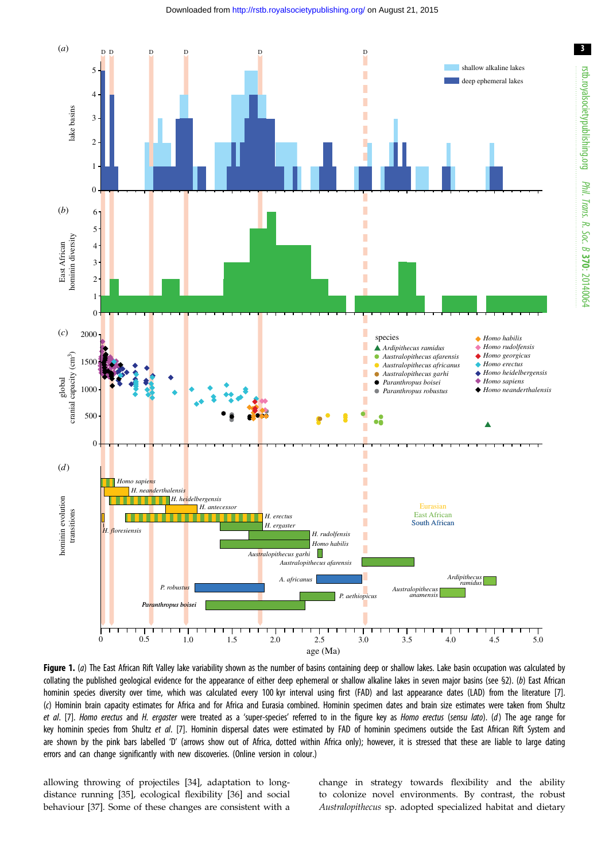#### Downloaded from<http://rstb.royalsocietypublishing.org/>on August 21, 2015

<span id="page-2-0"></span>

Figure 1. (a) The East African Rift Valley lake variability shown as the number of basins containing deep or shallow lakes. Lake basin occupation was calculated by collating the published geological evidence for the appearance of either deep ephemeral or shallow alkaline lakes in seven major basins (see §2). (b) East African hominin species diversity over time, which was calculated every 100 kyr interval using first (FAD) and last appearance dates (LAD) from the literature [[7](#page-9-0)]. (c) Hominin brain capacity estimates for Africa and for Africa and Eurasia combined. Hominin specimen dates and brain size estimates were taken from Shultz et al. [[7](#page-9-0)]. Homo erectus and H. ergaster were treated as a 'super-species' referred to in the figure key as Homo erectus (sensu lato). (d) The age range for key hominin species from Shultz et al. [[7\]](#page-9-0). Hominin dispersal dates were estimated by FAD of hominin specimens outside the East African Rift System and are shown by the pink bars labelled 'D' (arrows show out of Africa, dotted within Africa only); however, it is stressed that these are liable to large dating errors and can change significantly with new discoveries. (Online version in colour.)

allowing throwing of projectiles [[34\]](#page-9-0), adaptation to longdistance running [[35\]](#page-9-0), ecological flexibility [\[36](#page-9-0)] and social behaviour [[37\]](#page-9-0). Some of these changes are consistent with a change in strategy towards flexibility and the ability to colonize novel environments. By contrast, the robust Australopithecus sp. adopted specialized habitat and dietary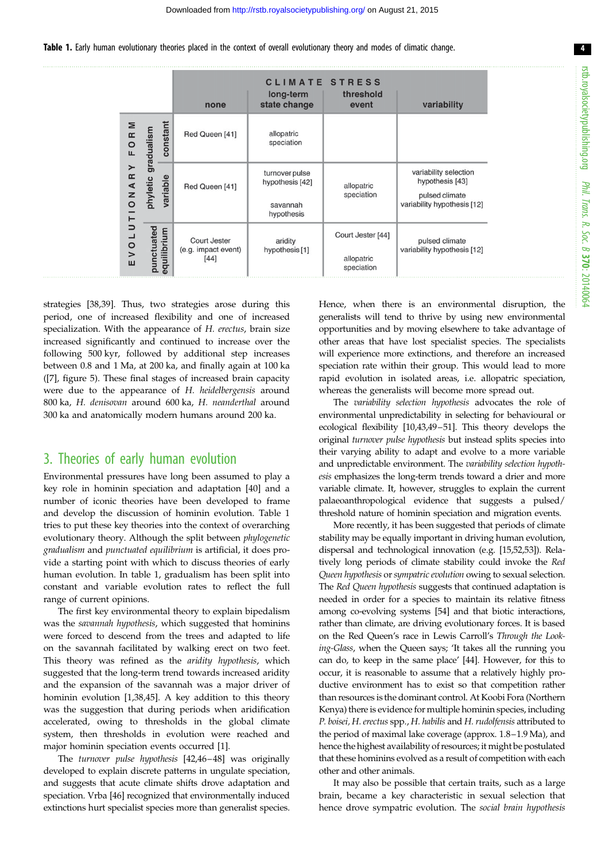Table 1. Early human evolutionary theories placed in the context of overall evolutionary theory and modes of climatic change.

|                                                                        |                           |          | none                                          | long-term<br>state change                                   | <b>CLIMATE STRESS</b><br>threshold<br>event   | variability                                                                               |
|------------------------------------------------------------------------|---------------------------|----------|-----------------------------------------------|-------------------------------------------------------------|-----------------------------------------------|-------------------------------------------------------------------------------------------|
| Σ<br>$\approx$<br>$\circ$<br>щ<br>IONARY<br>$\overline{U}$<br>10V<br>ш | gradualism<br>phyletic    | constant | Red Queen [41]                                | allopatric<br>speciation                                    |                                               |                                                                                           |
|                                                                        |                           | variable | Red Queen [41]                                | turnover pulse<br>hypothesis [42]<br>savannah<br>hypothesis | allopatric<br>speciation                      | variability selection<br>hypothesis [43]<br>pulsed climate<br>variability hypothesis [12] |
|                                                                        | punctuated<br>equilibrium |          | Court Jester<br>(e.g. impact event)<br>$[44]$ | aridity<br>hypothesis [1]                                   | Court Jester [44]<br>allopatric<br>speciation | pulsed climate<br>variability hypothesis [12]                                             |

strategies [[38,39](#page-9-0)]. Thus, two strategies arose during this period, one of increased flexibility and one of increased specialization. With the appearance of H. erectus, brain size increased significantly and continued to increase over the following 500 kyr, followed by additional step increases between 0.8 and 1 Ma, at 200 ka, and finally again at 100 ka ([\[7\]](#page-9-0), [figure 5\)](#page-6-0). These final stages of increased brain capacity were due to the appearance of H. heidelbergensis around 800 ka, H. denisovan around 600 ka, H. neanderthal around 300 ka and anatomically modern humans around 200 ka.

### 3. Theories of early human evolution

Environmental pressures have long been assumed to play a key role in hominin speciation and adaptation [\[40](#page-9-0)] and a number of iconic theories have been developed to frame and develop the discussion of hominin evolution. Table 1 tries to put these key theories into the context of overarching evolutionary theory. Although the split between phylogenetic gradualism and punctuated equilibrium is artificial, it does provide a starting point with which to discuss theories of early human evolution. In table 1, gradualism has been split into constant and variable evolution rates to reflect the full range of current opinions.

The first key environmental theory to explain bipedalism was the savannah hypothesis, which suggested that hominins were forced to descend from the trees and adapted to life on the savannah facilitated by walking erect on two feet. This theory was refined as the aridity hypothesis, which suggested that the long-term trend towards increased aridity and the expansion of the savannah was a major driver of hominin evolution [\[1,38](#page-9-0)[,45](#page-10-0)]. A key addition to this theory was the suggestion that during periods when aridification accelerated, owing to thresholds in the global climate system, then thresholds in evolution were reached and major hominin speciation events occurred [[1](#page-9-0)].

The turnover pulse hypothesis [\[42,46](#page-10-0)–[48\]](#page-10-0) was originally developed to explain discrete patterns in ungulate speciation, and suggests that acute climate shifts drove adaptation and speciation. Vrba [\[46\]](#page-10-0) recognized that environmentally induced extinctions hurt specialist species more than generalist species.

Hence, when there is an environmental disruption, the generalists will tend to thrive by using new environmental opportunities and by moving elsewhere to take advantage of other areas that have lost specialist species. The specialists will experience more extinctions, and therefore an increased speciation rate within their group. This would lead to more rapid evolution in isolated areas, i.e. allopatric speciation, whereas the generalists will become more spread out.

The variability selection hypothesis advocates the role of environmental unpredictability in selecting for behavioural or ecological flexibility [\[10,](#page-9-0)[43](#page-10-0),[49](#page-10-0)–[51](#page-10-0)]. This theory develops the original turnover pulse hypothesis but instead splits species into their varying ability to adapt and evolve to a more variable and unpredictable environment. The variability selection hypothesis emphasizes the long-term trends toward a drier and more variable climate. It, however, struggles to explain the current palaeoanthropological evidence that suggests a pulsed/ threshold nature of hominin speciation and migration events.

More recently, it has been suggested that periods of climate stability may be equally important in driving human evolution, dispersal and technological innovation (e.g. [\[15,](#page-9-0)[52,53\]](#page-10-0)). Relatively long periods of climate stability could invoke the Red Queen hypothesis or sympatric evolution owing to sexual selection. The Red Queen hypothesis suggests that continued adaptation is needed in order for a species to maintain its relative fitness among co-evolving systems [\[54\]](#page-10-0) and that biotic interactions, rather than climate, are driving evolutionary forces. It is based on the Red Queen's race in Lewis Carroll's Through the Looking-Glass, when the Queen says; 'It takes all the running you can do, to keep in the same place' [\[44\]](#page-10-0). However, for this to occur, it is reasonable to assume that a relatively highly productive environment has to exist so that competition rather than resources is the dominant control. At Koobi Fora (Northern Kenya) there is evidence for multiple hominin species, including P. boisei, H. erectus spp., H. habilis and H. rudolfensis attributed to the period of maximal lake coverage (approx. 1.8–1.9 Ma), and hence the highest availability of resources; it might be postulated that these hominins evolved as a result of competition with each other and other animals.

It may also be possible that certain traits, such as a large brain, became a key characteristic in sexual selection that hence drove sympatric evolution. The social brain hypothesis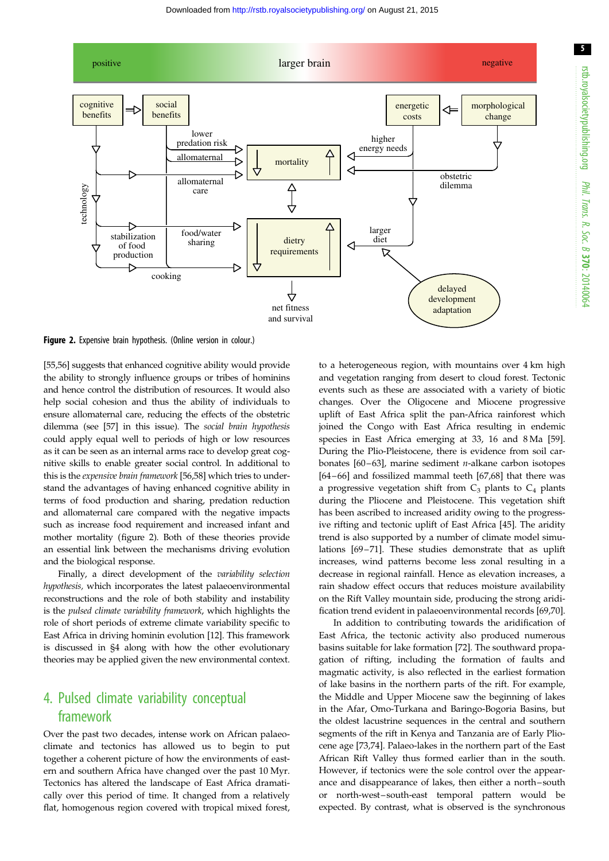5



Figure 2. Expensive brain hypothesis. (Online version in colour.)

[\[55,56](#page-10-0)] suggests that enhanced cognitive ability would provide the ability to strongly influence groups or tribes of hominins and hence control the distribution of resources. It would also help social cohesion and thus the ability of individuals to ensure allomaternal care, reducing the effects of the obstetric dilemma (see [[57\]](#page-10-0) in this issue). The social brain hypothesis could apply equal well to periods of high or low resources as it can be seen as an internal arms race to develop great cognitive skills to enable greater social control. In additional to this is the expensive brain framework [[56](#page-10-0),[58](#page-10-0)] which tries to understand the advantages of having enhanced cognitive ability in terms of food production and sharing, predation reduction and allomaternal care compared with the negative impacts such as increase food requirement and increased infant and mother mortality (figure 2). Both of these theories provide an essential link between the mechanisms driving evolution and the biological response.

Finally, a direct development of the variability selection hypothesis, which incorporates the latest palaeoenvironmental reconstructions and the role of both stability and instability is the pulsed climate variability framework, which highlights the role of short periods of extreme climate variability specific to East Africa in driving hominin evolution [\[12](#page-9-0)]. This framework is discussed in §4 along with how the other evolutionary theories may be applied given the new environmental context.

## 4. Pulsed climate variability conceptual framework

Over the past two decades, intense work on African palaeoclimate and tectonics has allowed us to begin to put together a coherent picture of how the environments of eastern and southern Africa have changed over the past 10 Myr. Tectonics has altered the landscape of East Africa dramatically over this period of time. It changed from a relatively flat, homogenous region covered with tropical mixed forest, to a heterogeneous region, with mountains over 4 km high and vegetation ranging from desert to cloud forest. Tectonic events such as these are associated with a variety of biotic changes. Over the Oligocene and Miocene progressive uplift of East Africa split the pan-Africa rainforest which joined the Congo with East Africa resulting in endemic species in East Africa emerging at 33, 16 and 8 Ma [[59\]](#page-10-0). During the Plio-Pleistocene, there is evidence from soil carbonates  $[60-63]$  $[60-63]$  $[60-63]$ , marine sediment *n*-alkane carbon isotopes [[64](#page-10-0) –[66](#page-10-0)] and fossilized mammal teeth [[67,68](#page-10-0)] that there was a progressive vegetation shift from  $C_3$  plants to  $C_4$  plants during the Pliocene and Pleistocene. This vegetation shift has been ascribed to increased aridity owing to the progressive rifting and tectonic uplift of East Africa [\[45](#page-10-0)]. The aridity trend is also supported by a number of climate model simu-lations [\[69](#page-10-0)-[71](#page-10-0)]. These studies demonstrate that as uplift increases, wind patterns become less zonal resulting in a decrease in regional rainfall. Hence as elevation increases, a rain shadow effect occurs that reduces moisture availability on the Rift Valley mountain side, producing the strong aridification trend evident in palaeoenvironmental records [\[69](#page-10-0),[70\]](#page-10-0).

In addition to contributing towards the aridification of East Africa, the tectonic activity also produced numerous basins suitable for lake formation [[72\]](#page-10-0). The southward propagation of rifting, including the formation of faults and magmatic activity, is also reflected in the earliest formation of lake basins in the northern parts of the rift. For example, the Middle and Upper Miocene saw the beginning of lakes in the Afar, Omo-Turkana and Baringo-Bogoria Basins, but the oldest lacustrine sequences in the central and southern segments of the rift in Kenya and Tanzania are of Early Pliocene age [\[73,74](#page-10-0)]. Palaeo-lakes in the northern part of the East African Rift Valley thus formed earlier than in the south. However, if tectonics were the sole control over the appearance and disappearance of lakes, then either a north –south or north-west –south-east temporal pattern would be expected. By contrast, what is observed is the synchronous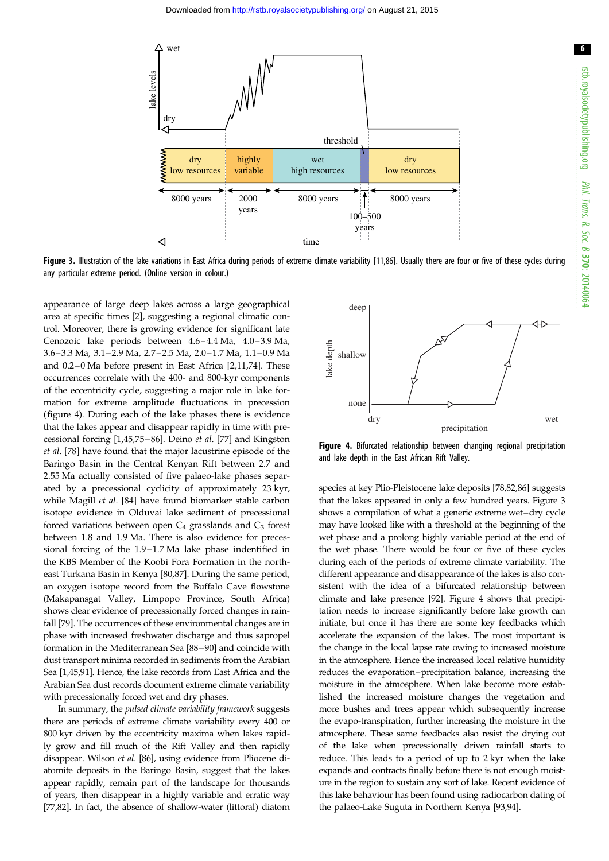

Figure 3. Illustration of the lake variations in East Africa during periods of extreme climate variability [[11](#page-9-0)[,86\]](#page-11-0). Usually there are four or five of these cycles during any particular extreme period. (Online version in colour.)

appearance of large deep lakes across a large geographical area at specific times [[2](#page-9-0)], suggesting a regional climatic control. Moreover, there is growing evidence for significant late Cenozoic lake periods between 4.6-4.4 Ma, 4.0-3.9 Ma, 3.6–3.3 Ma, 3.1–2.9 Ma, 2.7 –2.5 Ma, 2.0–1.7 Ma, 1.1–0.9 Ma and 0.2 –0 Ma before present in East Africa [[2](#page-9-0),[11,](#page-9-0)[74\]](#page-10-0). These occurrences correlate with the 400- and 800-kyr components of the eccentricity cycle, suggesting a major role in lake formation for extreme amplitude fluctuations in precession (figure 4). During each of the lake phases there is evidence that the lakes appear and disappear rapidly in time with precessional forcing [\[1,](#page-9-0)[45,75](#page-10-0) –[86](#page-11-0)]. Deino et al. [[77\]](#page-10-0) and Kingston et al. [[78\]](#page-10-0) have found that the major lacustrine episode of the Baringo Basin in the Central Kenyan Rift between 2.7 and 2.55 Ma actually consisted of five palaeo-lake phases separated by a precessional cyclicity of approximately 23 kyr, while Magill et al. [[84\]](#page-11-0) have found biomarker stable carbon isotope evidence in Olduvai lake sediment of precessional forced variations between open  $C_4$  grasslands and  $C_3$  forest between 1.8 and 1.9 Ma. There is also evidence for precessional forcing of the 1.9–1.7 Ma lake phase indentified in the KBS Member of the Koobi Fora Formation in the northeast Turkana Basin in Kenya [[80,](#page-10-0)[87\]](#page-11-0). During the same period, an oxygen isotope record from the Buffalo Cave flowstone (Makapansgat Valley, Limpopo Province, South Africa) shows clear evidence of precessionally forced changes in rainfall [[79\]](#page-10-0). The occurrences of these environmental changes are in phase with increased freshwater discharge and thus sapropel formation in the Mediterranean Sea [\[88](#page-11-0)–[90\]](#page-11-0) and coincide with dust transport minima recorded in sediments from the Arabian Sea [\[1](#page-9-0),[45](#page-10-0),[91](#page-11-0)]. Hence, the lake records from East Africa and the Arabian Sea dust records document extreme climate variability with precessionally forced wet and dry phases.

In summary, the pulsed climate variability framework suggests there are periods of extreme climate variability every 400 or 800 kyr driven by the eccentricity maxima when lakes rapidly grow and fill much of the Rift Valley and then rapidly disappear. Wilson et al. [[86\]](#page-11-0), using evidence from Pliocene diatomite deposits in the Baringo Basin, suggest that the lakes appear rapidly, remain part of the landscape for thousands of years, then disappear in a highly variable and erratic way [\[77,82\]](#page-10-0). In fact, the absence of shallow-water (littoral) diatom



Figure 4. Bifurcated relationship between changing regional precipitation and lake depth in the East African Rift Valley.

species at key Plio-Pleistocene lake deposits [\[78,82](#page-10-0)[,86\]](#page-11-0) suggests that the lakes appeared in only a few hundred years. Figure 3 shows a compilation of what a generic extreme wet–dry cycle may have looked like with a threshold at the beginning of the wet phase and a prolong highly variable period at the end of the wet phase. There would be four or five of these cycles during each of the periods of extreme climate variability. The different appearance and disappearance of the lakes is also consistent with the idea of a bifurcated relationship between climate and lake presence [[92](#page-11-0)]. Figure 4 shows that precipitation needs to increase significantly before lake growth can initiate, but once it has there are some key feedbacks which accelerate the expansion of the lakes. The most important is the change in the local lapse rate owing to increased moisture in the atmosphere. Hence the increased local relative humidity reduces the evaporation–precipitation balance, increasing the moisture in the atmosphere. When lake become more established the increased moisture changes the vegetation and more bushes and trees appear which subsequently increase the evapo-transpiration, further increasing the moisture in the atmosphere. These same feedbacks also resist the drying out of the lake when precessionally driven rainfall starts to reduce. This leads to a period of up to 2 kyr when the lake expands and contracts finally before there is not enough moisture in the region to sustain any sort of lake. Recent evidence of this lake behaviour has been found using radiocarbon dating of the palaeo-Lake Suguta in Northern Kenya [\[93,94\]](#page-11-0).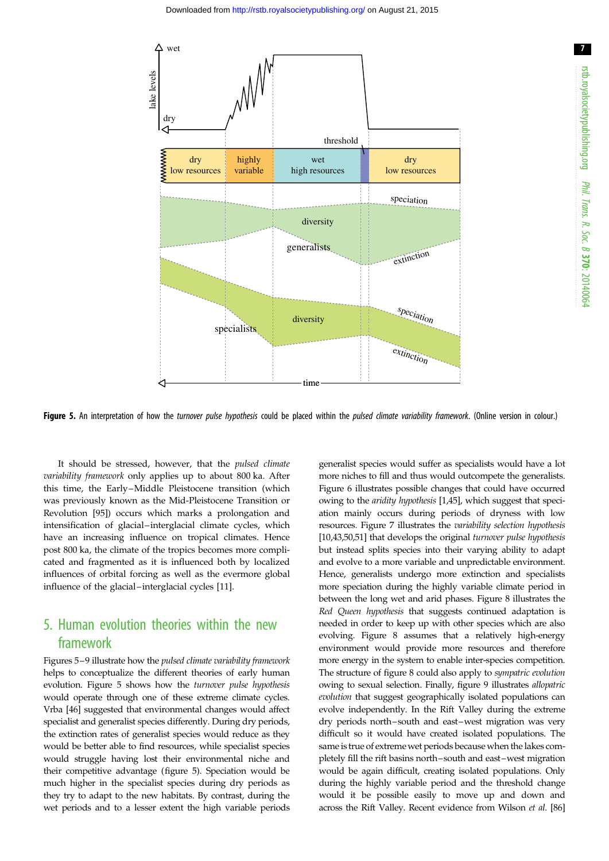7

<span id="page-6-0"></span>

Figure 5. An interpretation of how the turnover pulse hypothesis could be placed within the pulsed climate variability framework. (Online version in colour.)

It should be stressed, however, that the pulsed climate variability framework only applies up to about 800 ka. After this time, the Early –Middle Pleistocene transition (which was previously known as the Mid-Pleistocene Transition or Revolution [[95\]](#page-11-0)) occurs which marks a prolongation and intensification of glacial –interglacial climate cycles, which have an increasing influence on tropical climates. Hence post 800 ka, the climate of the tropics becomes more complicated and fragmented as it is influenced both by localized influences of orbital forcing as well as the evermore global influence of the glacial –interglacial cycles [[11\]](#page-9-0).

## 5. Human evolution theories within the new framework

Figures 5–[9](#page-8-0) illustrate how the pulsed climate variability framework helps to conceptualize the different theories of early human evolution. Figure 5 shows how the turnover pulse hypothesis would operate through one of these extreme climate cycles. Vrba [\[46](#page-10-0)] suggested that environmental changes would affect specialist and generalist species differently. During dry periods, the extinction rates of generalist species would reduce as they would be better able to find resources, while specialist species would struggle having lost their environmental niche and their competitive advantage (figure 5). Speciation would be much higher in the specialist species during dry periods as they try to adapt to the new habitats. By contrast, during the wet periods and to a lesser extent the high variable periods generalist species would suffer as specialists would have a lot more niches to fill and thus would outcompete the generalists. [Figure 6](#page-7-0) illustrates possible changes that could have occurred owing to the aridity hypothesis [\[1](#page-9-0),[45](#page-10-0)], which suggest that speciation mainly occurs during periods of dryness with low resources. [Figure 7](#page-7-0) illustrates the variability selection hypothesis [[10](#page-9-0)[,43,50,51\]](#page-10-0) that develops the original turnover pulse hypothesis but instead splits species into their varying ability to adapt and evolve to a more variable and unpredictable environment. Hence, generalists undergo more extinction and specialists more speciation during the highly variable climate period in between the long wet and arid phases. [Figure 8](#page-8-0) illustrates the Red Queen hypothesis that suggests continued adaptation is needed in order to keep up with other species which are also evolving. [Figure 8](#page-8-0) assumes that a relatively high-energy environment would provide more resources and therefore more energy in the system to enable inter-species competition. The structure of [figure 8](#page-8-0) could also apply to sympatric evolution owing to sexual selection. Finally, [figure 9](#page-8-0) illustrates allopatric evolution that suggest geographically isolated populations can evolve independently. In the Rift Valley during the extreme dry periods north–south and east–west migration was very difficult so it would have created isolated populations. The same is true of extremewet periods because when the lakes completely fill the rift basins north–south and east–west migration would be again difficult, creating isolated populations. Only during the highly variable period and the threshold change would it be possible easily to move up and down and across the Rift Valley. Recent evidence from Wilson et al. [\[86\]](#page-11-0)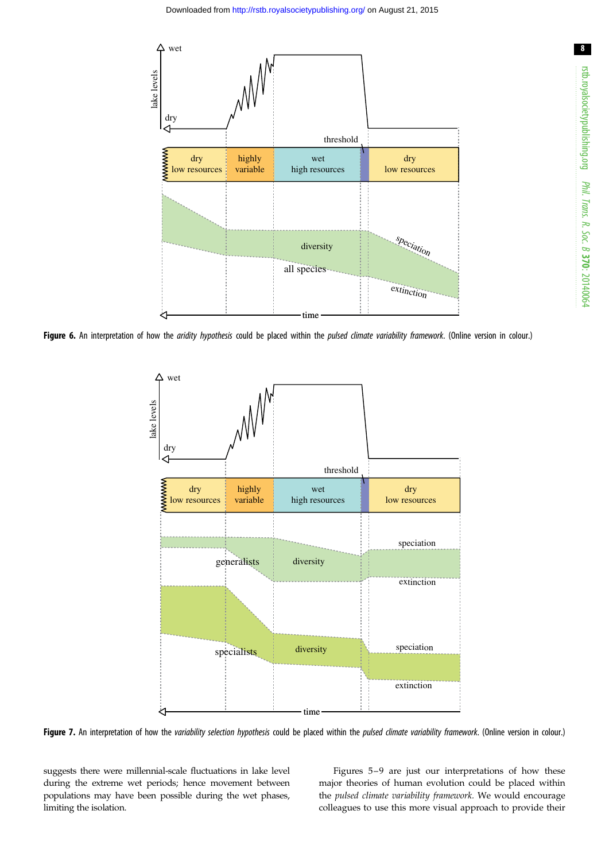<span id="page-7-0"></span>

Figure 6. An interpretation of how the aridity hypothesis could be placed within the pulsed climate variability framework. (Online version in colour.)



Figure 7. An interpretation of how the variability selection hypothesis could be placed within the pulsed climate variability framework. (Online version in colour.)

suggests there were millennial-scale fluctuations in lake level during the extreme wet periods; hence movement between populations may have been possible during the wet phases, limiting the isolation.

Figures [5](#page-6-0)–[9](#page-8-0) are just our interpretations of how these major theories of human evolution could be placed within the pulsed climate variability framework. We would encourage colleagues to use this more visual approach to provide their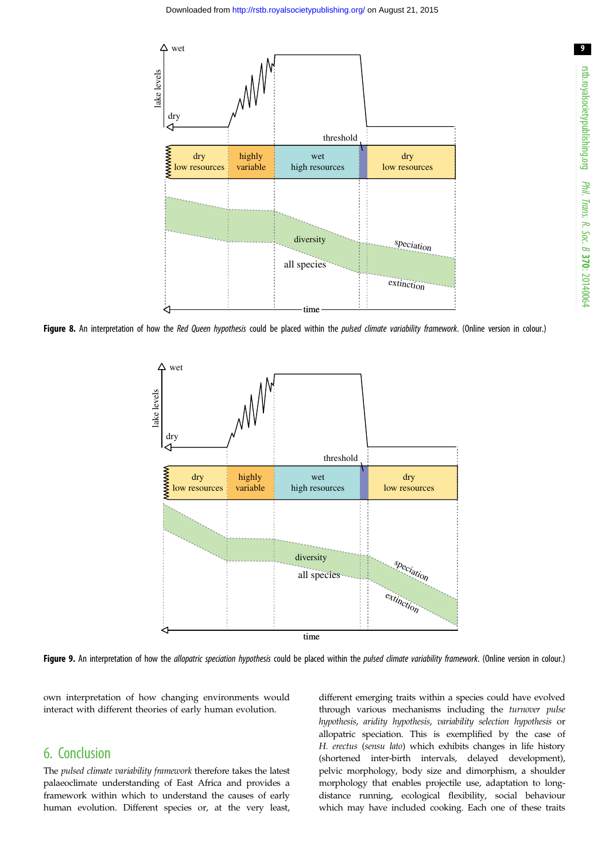<span id="page-8-0"></span>

Figure 8. An interpretation of how the Red Queen hypothesis could be placed within the pulsed climate variability framework. (Online version in colour.)



Figure 9. An interpretation of how the allopatric speciation hypothesis could be placed within the pulsed climate variability framework. (Online version in colour.)

own interpretation of how changing environments would interact with different theories of early human evolution.

### 6. Conclusion

The pulsed climate variability framework therefore takes the latest palaeoclimate understanding of East Africa and provides a framework within which to understand the causes of early human evolution. Different species or, at the very least, different emerging traits within a species could have evolved through various mechanisms including the turnover pulse hypothesis, aridity hypothesis, variability selection hypothesis or allopatric speciation. This is exemplified by the case of H. erectus (sensu lato) which exhibits changes in life history (shortened inter-birth intervals, delayed development), pelvic morphology, body size and dimorphism, a shoulder morphology that enables projectile use, adaptation to longdistance running, ecological flexibility, social behaviour which may have included cooking. Each one of these traits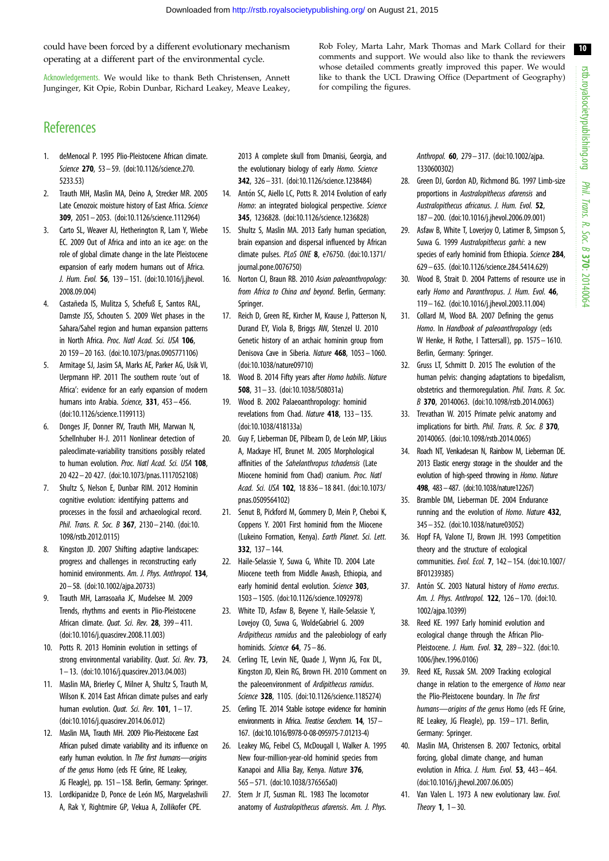<span id="page-9-0"></span>could have been forced by a different evolutionary mechanism operating at a different part of the environmental cycle.

Acknowledgements. We would like to thank Beth Christensen, Annett Junginger, Kit Opie, Robin Dunbar, Richard Leakey, Meave Leakey, Rob Foley, Marta Lahr, Mark Thomas and Mark Collard for their comments and support. We would also like to thank the reviewers whose detailed comments greatly improved this paper. We would like to thank the UCL Drawing Office (Department of Geography) for compiling the figures.

# **References**

- 1. deMenocal P. 1995 Plio-Pleistocene African climate. Science 270, 53 – 59. ([doi:10.1126/science.270.](http://dx.doi.org/10.1126/science.270.5233.53) [5233.53](http://dx.doi.org/10.1126/science.270.5233.53))
- 2. Trauth MH, Maslin MA, Deino A, Strecker MR. 2005 Late Cenozoic moisture history of East Africa. Science 309, 2051– 2053. [\(doi:10.1126/science.1112964](http://dx.doi.org/10.1126/science.1112964))
- 3. Carto SL, Weaver AJ, Hetherington R, Lam Y, Wiebe EC. 2009 Out of Africa and into an ice age: on the role of global climate change in the late Pleistocene expansion of early modern humans out of Africa. J. Hum. Evol. 56, 139– 151. ([doi:10.1016/j.jhevol.](http://dx.doi.org/10.1016/j.jhevol.2008.09.004) [2008.09.004\)](http://dx.doi.org/10.1016/j.jhevol.2008.09.004)
- 4. Castañeda IS, Mulitza S, Schefuß E, Santos RAL, Damste JSS, Schouten S. 2009 Wet phases in the Sahara/Sahel region and human expansion patterns in North Africa. Proc. Natl Acad. Sci. USA 106, 20 159– 20 163. ([doi:10.1073/pnas.0905771106](http://dx.doi.org/10.1073/pnas.0905771106))
- 5. Armitage SJ, Jasim SA, Marks AE, Parker AG, Usik VI, Uerpmann HP. 2011 The southern route 'out of Africa': evidence for an early expansion of modern humans into Arabia. Science, 331, 453-456. [\(doi:10.1126/science.1199113\)](http://dx.doi.org/10.1126/science.1199113)
- 6. Donges JF, Donner RV, Trauth MH, Marwan N, Schellnhuber H-J. 2011 Nonlinear detection of paleoclimate-variability transitions possibly related to human evolution. Proc. Natl Acad. Sci. USA 108. 20 422– 20 427. ([doi:10.1073/pnas.1117052108](http://dx.doi.org/10.1073/pnas.1117052108))
- 7. Shultz S, Nelson E, Dunbar RIM. 2012 Hominin cognitive evolution: identifying patterns and processes in the fossil and archaeological record. Phil. Trans. R. Soc. B 367, 2130-2140. [\(doi:10.](http://dx.doi.org/10.1098/rstb.2012.0115) [1098/rstb.2012.0115\)](http://dx.doi.org/10.1098/rstb.2012.0115)
- 8. Kingston JD. 2007 Shifting adaptive landscapes: progress and challenges in reconstructing early hominid environments. Am. J. Phys. Anthropol. 134, 20 – 58. ([doi:10.1002/ajpa.20733\)](http://dx.doi.org/10.1002/ajpa.20733)
- 9. Trauth MH, Larrasoaña JC, Mudelsee M. 2009 Trends, rhythms and events in Plio-Pleistocene African climate. Quat. Sci. Rev. 28, 399– 411. [\(doi:10.1016/j.quascirev.2008.11.003](http://dx.doi.org/10.1016/j.quascirev.2008.11.003))
- 10. Potts R. 2013 Hominin evolution in settings of strong environmental variability. *Ougt. Sci. Rev.* 73, 1– 13. [\(doi:10.1016/j.quascirev.2013.04.003](http://dx.doi.org/10.1016/j.quascirev.2013.04.003))
- 11. Maslin MA, Brierley C, Milner A, Shultz S, Trauth M, Wilson K. 2014 East African climate pulses and early human evolution. *Quat. Sci. Rev.* **101**,  $1 - 17$ . [\(doi:10.1016/j.quascirev.2014.06.012](http://dx.doi.org/10.1016/j.quascirev.2014.06.012))
- 12. Maslin MA, Trauth MH. 2009 Plio-Pleistocene East African pulsed climate variability and its influence on early human evolution. In The first humans-origins of the genus Homo (eds FE Grine, RE Leakey, JG Fleagle), pp. 151–158. Berlin, Germany: Springer.
- 13. Lordkipanidze D, Ponce de León MS, Margyelashvili A, Rak Y, Rightmire GP, Vekua A, Zollikofer CPE.

2013 A complete skull from Dmanisi, Georgia, and the evolutionary biology of early Homo. Science 342, 326 – 331. [\(doi:10.1126/science.1238484](http://dx.doi.org/10.1126/science.1238484))

- 14. Antón SC, Aiello LC, Potts R. 2014 Evolution of early Homo: an integrated biological perspective. Science 345, 1236828. [\(doi:10.1126/science.1236828\)](http://dx.doi.org/10.1126/science.1236828)
- 15. Shultz S, Maslin MA. 2013 Early human speciation, brain expansion and dispersal influenced by African climate pulses. PLoS ONE 8, e76750. ([doi:10.1371/](http://dx.doi.org/10.1371/journal.pone.0076750) [journal.pone.0076750\)](http://dx.doi.org/10.1371/journal.pone.0076750)
- 16. Norton CJ, Braun RB. 2010 Asian paleoanthropology: from Africa to China and beyond. Berlin, Germany: Springer.
- 17. Reich D, Green RE, Kircher M, Krause J, Patterson N, Durand EY, Viola B, Briggs AW, Stenzel U. 2010 Genetic history of an archaic hominin group from Denisova Cave in Siberia. Nature 468, 1053 – 1060. [\(doi:10.1038/nature09710](http://dx.doi.org/10.1038/nature09710))
- 18. Wood B. 2014 Fifty years after Homo habilis. Nature 508, 31 – 33. ([doi:10.1038/508031a\)](http://dx.doi.org/10.1038/508031a)
- 19. Wood B. 2002 Palaeoanthropology: hominid revelations from Chad. Nature 418, 133– 135. [\(doi:10.1038/418133a](http://dx.doi.org/10.1038/418133a))
- 20. Guy F, Lieberman DE, Pilbeam D, de León MP, Likius A, Mackaye HT, Brunet M. 2005 Morphological affinities of the Sahelanthropus tchadensis (Late Miocene hominid from Chad) cranium. Proc. Natl Acad. Sci. USA 102, 18 836– 18 841. ([doi:10.1073/](http://dx.doi.org/10.1073/pnas.0509564102) [pnas.0509564102](http://dx.doi.org/10.1073/pnas.0509564102))
- 21. Senut B, Pickford M, Gommery D, Mein P, Cheboi K, Coppens Y. 2001 First hominid from the Miocene (Lukeino Formation, Kenya). Earth Planet. Sci. Lett. 332, 137 – 144.
- 22. Haile-Selassie Y, Suwa G, White TD. 2004 Late Miocene teeth from Middle Awash, Ethiopia, and early hominid dental evolution. Science 303, 1503– 1505. [\(doi:10.1126/science.1092978](http://dx.doi.org/10.1126/science.1092978))
- 23. White TD, Asfaw B, Beyene Y, Haile-Selassie Y, Lovejoy CO, Suwa G, WoldeGabriel G. 2009 Ardipithecus ramidus and the paleobiology of early hominids. Science  $64$ ,  $75 - 86$ .
- 24. Cerling TE, Levin NE, Quade J, Wynn JG, Fox DL, Kingston JD, Klein RG, Brown FH. 2010 Comment on the paleoenvironment of Ardipithecus ramidus. Science 328, 1105. [\(doi:10.1126/science.1185274\)](http://dx.doi.org/10.1126/science.1185274)
- 25. Cerling TE. 2014 Stable isotope evidence for hominin environments in Africa. Treatise Geochem. **14**, 157– 167. [\(](()[doi:10.1016/B978-0-08-095975-7.01213-4](http://dx.doi.org/10.1016/B978-0-08-095975-7.01213-4)[\)]())
- 26. Leakey MG, Feibel CS, McDougall I, Walker A. 1995 New four-million-year-old hominid species from Kanapoi and Allia Bay, Kenya. Nature 376, 565 – 571. [\(doi:10.1038/376565a0\)](http://dx.doi.org/10.1038/376565a0)
- 27. Stern Jr JT, Susman RL. 1983 The locomotor anatomy of Australopithecus afarensis. Am. J. Phys.

Anthropol. 60, 279-317. [\(doi:10.1002/ajpa.](http://dx.doi.org/10.1002/ajpa.1330600302) [1330600302](http://dx.doi.org/10.1002/ajpa.1330600302))

- 28. Green DJ, Gordon AD, Richmond BG. 1997 Limb-size proportions in Australopithecus afarensis and Australopithecus africanus. J. Hum. Evol. 52, 187– 200. [\(doi:10.1016/j.jhevol.2006.09.001\)](http://dx.doi.org/10.1016/j.jhevol.2006.09.001)
- 29. Asfaw B, White T, Loverjoy O, Latimer B, Simpson S, Suwa G. 1999 Australopithecus garhi: a new species of early hominid from Ethiopia. Science 284, 629– 635. [\(doi:10.1126/science.284.5414.629\)](http://dx.doi.org/10.1126/science.284.5414.629)
- 30. Wood B, Strait D. 2004 Patterns of resource use in early Homo and Paranthropus. J. Hum. Evol. 46, 119– 162. [\(doi:10.1016/j.jhevol.2003.11.004\)](http://dx.doi.org/10.1016/j.jhevol.2003.11.004)
- 31. Collard M, Wood BA. 2007 Defining the genus Homo. In Handbook of paleoanthropology (eds W Henke, H Rothe, I Tattersall), pp. 1575 - 1610. Berlin, Germany: Springer.
- 32. Gruss LT, Schmitt D. 2015 The evolution of the human pelvis: changing adaptations to bipedalism, obstetrics and thermoregulation. Phil. Trans. R. Soc. B 370, 20140063. [\(doi:10.1098/rstb.2014.0063](http://dx.doi.org/10.1098/rstb.2014.0063))
- 33. Trevathan W. 2015 Primate pelvic anatomy and implications for birth. Phil. Trans. R. Soc. B 370, 20140065. ([doi:10.1098/rstb.2014.0065\)](http://dx.doi.org/10.1098/rstb.2014.0065)
- 34. Roach NT, Venkadesan N, Rainbow M, Lieberman DE. 2013 Elastic energy storage in the shoulder and the evolution of high-speed throwing in Homo. Nature 498, 483–487. [\(doi:10.1038/nature12267\)](http://dx.doi.org/10.1038/nature12267)
- 35. Bramble DM, Lieberman DE. 2004 Endurance running and the evolution of *Homo*. Nature 432. 345– 352. [\(doi:10.1038/nature03052](http://dx.doi.org/10.1038/nature03052))
- 36. Hopf FA, Valone TJ, Brown JH. 1993 Competition theory and the structure of ecological communities. Evol. Ecol. 7, 142 – 154. [\(doi:10.1007/](http://dx.doi.org/10.1007/BF01239385) [BF01239385](http://dx.doi.org/10.1007/BF01239385))
- 37. Antón SC. 2003 Natural history of Homo erectus. Am. J. Phys. Anthropol. 122, 126– 170. ([doi:10.](http://dx.doi.org/10.1002/ajpa.10399) [1002/ajpa.10399\)](http://dx.doi.org/10.1002/ajpa.10399)
- 38. Reed KE. 1997 Early hominid evolution and ecological change through the African Plio-Pleistocene. J. Hum. Evol. 32, 289– 322. [\(doi:10.](http://dx.doi.org/10.1006/jhev.1996.0106) [1006/jhev.1996.0106\)](http://dx.doi.org/10.1006/jhev.1996.0106)
- 39. Reed KE, Russak SM. 2009 Tracking ecological change in relation to the emergence of Homo near the Plio-Pleistocene boundary. In The first humans—origins of the genus Homo (eds FE Grine, RE Leakey, JG Fleagle), pp. 159– 171. Berlin, Germany: Springer.
- 40. Maslin MA, Christensen B. 2007 Tectonics, orbital forcing, global climate change, and human evolution in Africa. J. Hum. Evol. 53, 443-464. ([doi:10.1016/j.jhevol.2007.06.005\)](http://dx.doi.org/10.1016/j.jhevol.2007.06.005)
- 41. Van Valen L. 1973 A new evolutionary law. Evol. Theory  $1. 1 - 30$ .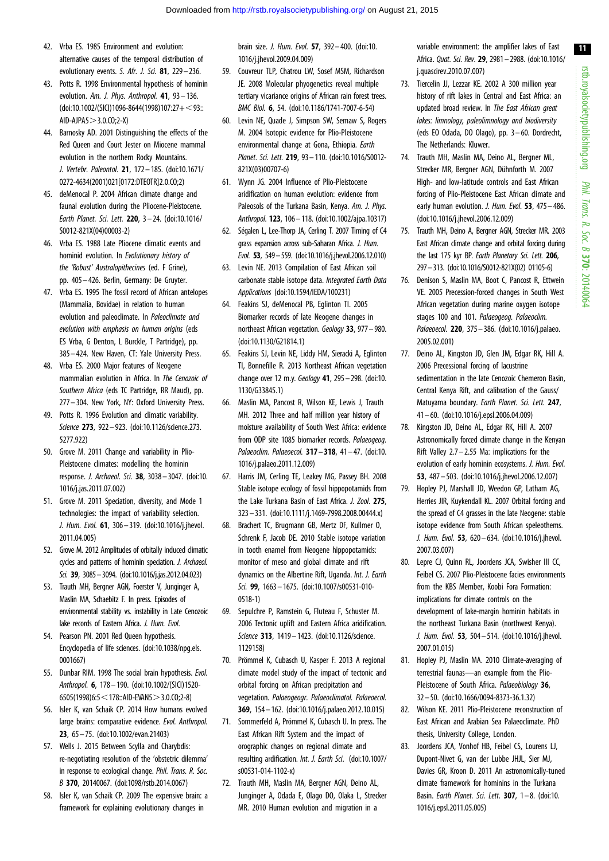- <span id="page-10-0"></span>42. Vrba ES. 1985 Environment and evolution: alternative causes of the temporal distribution of evolutionary events. S. Afr. J. Sci. 81, 229-236.
- 43. Potts R. 1998 Environmental hypothesis of hominin evolution. Am. J. Phys. Anthropol. 41, 93-136.  $(doi:10.1002/(SIC)/1096-8644(1998)107:27+<93::$  $AD-APA5 > 3.0.C0:2-X$
- 44. Barnosky AD. 2001 Distinguishing the effects of the Red Queen and Court Jester on Miocene mammal evolution in the northern Rocky Mountains. J. Vertebr. Paleontol. 21, 172 – 185. ([doi:10.1671/](http://dx.doi.org/10.1671/0272-4634(2001)021[0172:DTEOTR]2.0.CO;2) [0272-4634\(2001\)021\[0172:DTEOTR\]2.0.CO;2](http://dx.doi.org/10.1671/0272-4634(2001)021[0172:DTEOTR]2.0.CO;2))
- 45. deMenocal P. 2004 African climate change and faunal evolution during the Pliocene-Pleistocene. Earth Planet. Sci. Lett. 220, 3 – 24. [\(doi:10.1016/](http://dx.doi.org/10.1016/S0012-821X(04)00003-2) [S0012-821X\(04\)00003-2\)](http://dx.doi.org/10.1016/S0012-821X(04)00003-2)
- 46. Vrba ES. 1988 Late Pliocene climatic events and hominid evolution. In Evolutionary history of the 'Robust' Australopithecines (ed. F Grine), pp. 405 – 426. Berlin, Germany: De Gruyter.
- 47. Vrba ES. 1995 The fossil record of African antelopes (Mammalia, Bovidae) in relation to human evolution and paleoclimate. In Paleoclimate and evolution with emphasis on human origins (eds ES Vrba, G Denton, L Burckle, T Partridge), pp. 385– 424. New Haven, CT: Yale University Press.
- 48. Vrba ES. 2000 Major features of Neogene mammalian evolution in Africa. In The Cenozoic of Southern Africa (eds TC Partridge, RR Maud), pp. 277– 304. New York, NY: Oxford University Press.
- 49. Potts R. 1996 Evolution and climatic variability. Science 273, 922– 923. ([doi:10.1126/science.273.](http://dx.doi.org/10.1126/science.273.5277.922) [5277.922](http://dx.doi.org/10.1126/science.273.5277.922))
- 50. Grove M. 2011 Change and variability in Plio-Pleistocene climates: modelling the hominin response. J. Archaeol. Sci. 38, 3038– 3047. ([doi:10.](http://dx.doi.org/10.1016/j.jas.2011.07.002) [1016/j.jas.2011.07.002](http://dx.doi.org/10.1016/j.jas.2011.07.002))
- 51. Grove M. 2011 Speciation, diversity, and Mode 1 technologies: the impact of variability selection. J. Hum. Evol. 61, 306-319. ([doi:10.1016/j.jhevol.](http://dx.doi.org/10.1016/j.jhevol.2011.04.005) [2011.04.005\)](http://dx.doi.org/10.1016/j.jhevol.2011.04.005)
- 52. Grove M. 2012 Amplitudes of orbitally induced climatic cycles and patterns of hominin speciation. J. Archaeol. Sci. 39, 3085–3094. (doi:10.1016/i.jas.2012.04.023)
- 53. Trauth MH, Bergner AGN, Foerster V, Junginger A, Maslin MA, Schaebitz F. In press. Episodes of environmental stability vs. instability in Late Cenozoic lake records of Eastern Africa. J. Hum. Evol.
- 54. Pearson PN. 2001 Red Queen hypothesis. Encyclopedia of life sciences. ([doi:10.1038/npg.els.](http://dx.doi.org/10.1038/npg.els.0001667) [0001667](http://dx.doi.org/10.1038/npg.els.0001667))
- 55. Dunbar RIM. 1998 The social brain hypothesis. Evol. Anthropol. 6, 178-190. [\(doi:10.1002/\(SICI\)1520-](http://dx.doi.org/10.1002/(SICI)1520-6505(1998)6:5%3C178::AID-EVAN5%3E3.0.CO;2-8) [6505\(1998\)6:5](http://dx.doi.org/10.1002/(SICI)1520-6505(1998)6:5%3C178::AID-EVAN5%3E3.0.CO;2-8) < [178::AID-EVAN5](http://dx.doi.org/10.1002/(SICI)1520-6505(1998)6:5%3C178::AID-EVAN5%3E3.0.CO;2-8) > [3.0.CO;2-8](http://dx.doi.org/10.1002/(SICI)1520-6505(1998)6:5%3C178::AID-EVAN5%3E3.0.CO;2-8))
- 56. Isler K, van Schaik CP. 2014 How humans evolved large brains: comparative evidence. Evol. Anthropol. 23, 65 – 75. ([doi:10.1002/evan.21403](http://dx.doi.org/10.1002/evan.21403))
- 57. Wells J. 2015 Between Scylla and Charybdis: re-negotiating resolution of the 'obstetric dilemma' in response to ecological change. Phil. Trans. R. Soc. B 370, 20140067. ([doi:1098/rstb.2014.0067](http://dx.doi.org/1098/rstb.2014.0067))
- 58. Isler K, van Schaik CP. 2009 The expensive brain: a framework for explaining evolutionary changes in

brain size. J. Hum. Evol. 57, 392– 400. [\(doi:10.](http://dx.doi.org/10.1016/j.jhevol.2009.04.009) [1016/j.jhevol.2009.04.009](http://dx.doi.org/10.1016/j.jhevol.2009.04.009))

- 59. Couvreur TLP, Chatrou LW, Sosef MSM, Richardson JE. 2008 Molecular phyogenetics reveal multiple tertiary vicariance origins of African rain forest trees. BMC Biol. 6, 54. ([doi:10.1186/1741-7007-6-54\)](http://dx.doi.org/10.1186/1741-7007-6-54)
- 60. Levin NE, Quade J, Simpson SW, Semaw S, Rogers M. 2004 Isotopic evidence for Plio-Pleistocene environmental change at Gona, Ethiopia. Earth Planet. Sci. Lett. 219, 93 – 110. [\(doi:10.1016/S0012-](http://dx.doi.org/10.1016/S0012-821X(03)00707-6) [821X\(03\)00707-6](http://dx.doi.org/10.1016/S0012-821X(03)00707-6))
- 61. Wynn JG. 2004 Influence of Plio-Pleistocene aridification on human evolution: evidence from Paleosols of the Turkana Basin, Kenya. Am. J. Phys. Anthropol. 123, 106 – 118. ([doi:10.1002/ajpa.10317\)](http://dx.doi.org/10.1002/ajpa.10317)
- 62. Ségalen L, Lee-Thorp JA, Cerling T. 2007 Timing of C4 grass expansion across sub-Saharan Africa. J. Hum. Evol. 53, 549–559. [\(doi:10.1016/j.jhevol.2006.12.010](http://dx.doi.org/10.1016/j.jhevol.2006.12.010))
- 63. Levin NE. 2013 Compilation of East African soil carbonate stable isotope data. Integrated Earth Data Applications ([doi:10.1594/IEDA/100231](http://dx.doi.org/10.1594/IEDA/100231))
- 64. Feakins SJ, deMenocal PB, Eglinton TI. 2005 Biomarker records of late Neogene changes in northeast African vegetation. Geology 33, 977– 980. [\(doi:10.1130/G21814.1](http://dx.doi.org/10.1130/G21814.1))
- 65. Feakins SJ, Levin NE, Liddy HM, Sieracki A, Eglinton TI, Bonnefille R. 2013 Northeast African vegetation change over 12 m.y. Geology 41, 295– 298. [\(doi:10.](http://dx.doi.org/10.1130/G33845.1) [1130/G33845.1\)](http://dx.doi.org/10.1130/G33845.1)
- 66. Maslin MA, Pancost R, Wilson KE, Lewis J, Trauth MH. 2012 Three and half million year history of moisture availability of South West Africa: evidence from ODP site 1085 biomarker records. Palaeogeog. Palaeoclim. Palaeoecol. 317-318, 41-47. [\(doi:10.](http://dx.doi.org/10.1016/j.palaeo.2011.12.009) [1016/j.palaeo.2011.12.009\)](http://dx.doi.org/10.1016/j.palaeo.2011.12.009)
- 67. Harris JM, Cerling TE, Leakey MG, Passey BH. 2008 Stable isotope ecology of fossil hippopotamids from the Lake Turkana Basin of East Africa. J. Zool. 275, 323 – 331. [\(doi:10.1111/j.1469-7998.2008.00444.x](http://dx.doi.org/10.1111/j.1469-7998.2008.00444.x))
- 68. Brachert TC, Brugmann GB, Mertz DF, Kullmer O, Schrenk F, Jacob DE. 2010 Stable isotope variation in tooth enamel from Neogene hippopotamids: monitor of meso and global climate and rift dynamics on the Albertine Rift, Uganda. Int. J. Earth Sci. 99, 1663– 1675. [\(doi:10.1007/s00531-010-](http://dx.doi.org/10.1007/s00531-010-0518-1) [0518-1](http://dx.doi.org/10.1007/s00531-010-0518-1))
- 69. Sepulchre P, Ramstein G, Fluteau F, Schuster M. 2006 Tectonic uplift and Eastern Africa aridification. Science 313, 1419 – 1423. [\(doi:10.1126/science.](http://dx.doi.org/10.1126/science.1129158) [1129158\)](http://dx.doi.org/10.1126/science.1129158)
- 70. Prömmel K, Cubasch U, Kasper F, 2013 A regional climate model study of the impact of tectonic and orbital forcing on African precipitation and vegetation. Palaeogeogr. Palaeoclimatol. Palaeoecol. 369, 154 – 162. [\(doi:10.1016/j.palaeo.2012.10.015\)](http://dx.doi.org/10.1016/j.palaeo.2012.10.015)
- 71. Sommerfeld A, Prömmel K, Cubasch U. In press. The East African Rift System and the impact of orographic changes on regional climate and resulting ardification. Int. J. Earth Sci. [\(doi:10.1007/](http://dx.doi.org/10.1007/s00531-014-1102-x) [s00531-014-1102-x](http://dx.doi.org/10.1007/s00531-014-1102-x))
- 72. Trauth MH, Maslin MA, Bergner AGN, Deino AL, Junginger A, Odada E, Olago DO, Olaka L, Strecker MR. 2010 Human evolution and migration in a

variable environment: the amplifier lakes of East Africa. Quat. Sci. Rev. 29, 2981 – 2988. [\(doi:10.1016/](http://dx.doi.org/10.1016/j.quascirev.2010.07.007) [j.quascirev.2010.07.007\)](http://dx.doi.org/10.1016/j.quascirev.2010.07.007)

- 73. Tiercelin JJ, Lezzar KE. 2002 A 300 million year history of rift lakes in Central and East Africa: an updated broad review. In The East African great lakes: limnology, paleolimnology and biodiversity (eds EO Odada, DO Olago), pp. 3 – 60. Dordrecht, The Netherlands: Kluwer.
- 74. Trauth MH, Maslin MA, Deino AL, Bergner ML, Strecker MR, Bergner AGN, Dühnforth M. 2007 High- and low-latitude controls and East African forcing of Plio-Pleistocene East African climate and early human evolution. J. Hum. Evol. 53, 475 - 486. ([doi:10.1016/j.jhevol.2006.12.009\)](http://dx.doi.org/10.1016/j.jhevol.2006.12.009)
- 75. Trauth MH, Deino A, Bergner AGN, Strecker MR. 2003 East African climate change and orbital forcing during the last 175 kyr BP. Earth Planetary Sci. Lett. 206, 297–313. ([doi:10.1016/S0012-821X\(02\) 01105-6](http://dx.doi.org/10.1016/S0012-821X(02)01105-6))
- 76. Denison S, Maslin MA, Boot C, Pancost R, Ettwein VE. 2005 Precession-forced changes in South West African vegetation during marine oxygen isotope stages 100 and 101. Palaeogeog. Palaeoclim. Palaeoecol. 220, 375-386. [\(doi:10.1016/j.palaeo.](http://dx.doi.org/10.1016/j.palaeo.2005.02.001) [2005.02.001](http://dx.doi.org/10.1016/j.palaeo.2005.02.001))
- 77. Deino AL, Kingston JD, Glen JM, Edgar RK, Hill A. 2006 Precessional forcing of lacustrine sedimentation in the late Cenozoic Chemeron Basin, Central Kenya Rift, and calibration of the Gauss/ Matuyama boundary. Earth Planet. Sci. Lett. 247, 41– 60. [\(doi:10.1016/j.epsl.2006.04.009\)](http://dx.doi.org/10.1016/j.epsl.2006.04.009)
- 78. Kingston JD, Deino AL, Edgar RK, Hill A. 2007 Astronomically forced climate change in the Kenyan Rift Valley 2.7 – 2.55 Ma: implications for the evolution of early hominin ecosystems. J. Hum. Evol. 53, 487 – 503. [\(doi:10.1016/j.jhevol.2006.12.007](http://dx.doi.org/10.1016/j.jhevol.2006.12.007))
- 79. Hopley PJ, Marshall JD, Weedon GP, Latham AG, Herries JIR, Kuykendall KL. 2007 Orbital forcing and the spread of C4 grasses in the late Neogene: stable isotope evidence from South African speleothems. J. Hum. Evol. 53, 620– 634. [\(doi:10.1016/j.jhevol.](http://dx.doi.org/10.1016/j.jhevol.2007.03.007) [2007.03.007](http://dx.doi.org/10.1016/j.jhevol.2007.03.007))
- 80. Lepre CJ, Quinn RL, Joordens JCA, Swisher III CC, Feibel CS. 2007 Plio-Pleistocene facies environments from the KBS Member, Koobi Fora Formation: implications for climate controls on the development of lake-margin hominin habitats in the northeast Turkana Basin (northwest Kenya). J. Hum. Evol. 53, 504– 514. [\(doi:10.1016/j.jhevol.](http://dx.doi.org/10.1016/j.jhevol.2007.01.015) [2007.01.015](http://dx.doi.org/10.1016/j.jhevol.2007.01.015))
- 81. Hopley PJ, Maslin MA. 2010 Climate-averaging of terrestrial faunas—an example from the Plio-Pleistocene of South Africa. Palaeobiology 36, 32– 50. [\(doi:10.1666/0094-8373-36.1.32](http://dx.doi.org/10.1666/0094-8373-36.1.32))
- 82. Wilson KE. 2011 Plio-Pleistocene reconstruction of East African and Arabian Sea Palaeoclimate. PhD thesis, University College, London.
- 83. Joordens JCA, Vonhof HB, Feibel CS, Lourens LJ, Dupont-Nivet G, van der Lubbe JHJL, Sier MJ, Davies GR, Kroon D. 2011 An astronomically-tuned climate framework for hominins in the Turkana Basin. Earth Planet. Sci. Lett. 307, 1– 8. [\(doi:10.](http://dx.doi.org/10.1016/j.epsl.2011.05.005) [1016/j.epsl.2011.05.005](http://dx.doi.org/10.1016/j.epsl.2011.05.005))